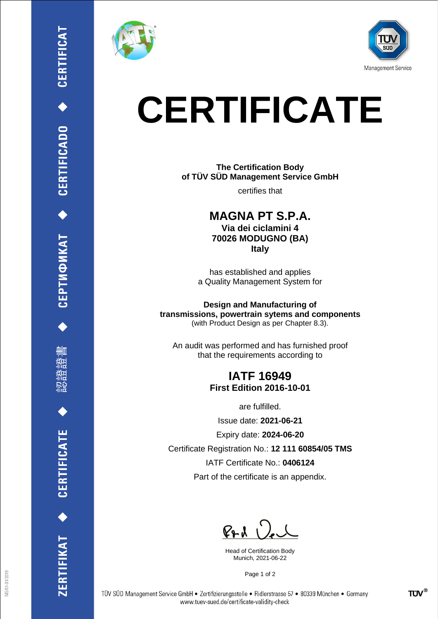

删

CERTIFICATE

ERTIFIKAT<sup>+</sup>





## **CERTIFICATE**

**The Certification Body of TÜV SÜD Management Service GmbH**

certifies that

**MAGNA PT S.P.A. Via dei ciclamini 4 70026 MODUGNO (BA) Italy**

has established and applies a Quality Management System for

**Design and Manufacturing of transmissions, powertrain sytems and components** (with Product Design as per Chapter 8.3).

An audit was performed and has furnished proof that the requirements according to

## **IATF 16949 First Edition 2016-10-01**

are fulfilled.

Issue date: **2021-06-21**

Expiry date: **2024-06-20**

Certificate Registration No.: **12 111 60854/05 TMS**

IATF Certificate No.: **0406124**

Part of the certificate is an appendix.

 $P+A$ 

Head of Certification Body Munich, 2021-06-22

Page 1 of 2